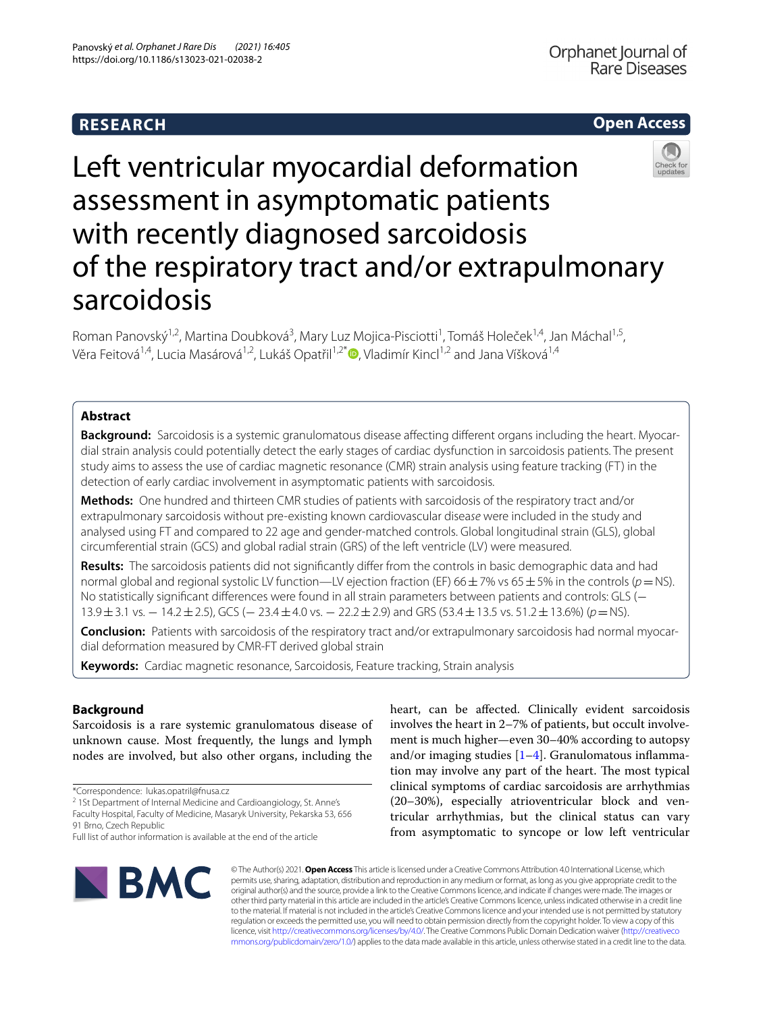# **RESEARCH**



# Left ventricular myocardial deformation assessment in asymptomatic patients with recently diagnosed sarcoidosis of the respiratory tract and/or extrapulmonary sarcoidosis

Roman Panovský<sup>1,2</sup>, Martina Doubková<sup>3</sup>, Mary Luz Mojica-Pisciotti<sup>1</sup>, Tomáš Holeček<sup>1,4</sup>, Jan Máchal<sup>1,5</sup>, Věra Feitová<sup>1,4</sup>[,](http://orcid.org/0000-0002-5504-7370) Lucia Masárová<sup>1,2</sup>, Lukáš Opatřil<sup>1,2\*</sup> , Vladimír Kincl<sup>1,2</sup> and Jana Víšková<sup>1,4</sup>

# **Abstract**

Background: Sarcoidosis is a systemic granulomatous disease affecting different organs including the heart. Myocardial strain analysis could potentially detect the early stages of cardiac dysfunction in sarcoidosis patients. The present study aims to assess the use of cardiac magnetic resonance (CMR) strain analysis using feature tracking (FT) in the detection of early cardiac involvement in asymptomatic patients with sarcoidosis.

**Methods:** One hundred and thirteen CMR studies of patients with sarcoidosis of the respiratory tract and/or extrapulmonary sarcoidosis without pre-existing known cardiovascular disea*se* were included in the study and analysed using FT and compared to 22 age and gender-matched controls. Global longitudinal strain (GLS), global circumferential strain (GCS) and global radial strain (GRS) of the left ventricle (LV) were measured.

**Results:** The sarcoidosis patients did not signifcantly difer from the controls in basic demographic data and had normal global and regional systolic LV function—LV ejection fraction (EF) 66±7% vs 65±5% in the controls (*p*=NS). No statistically signifcant diferences were found in all strain parameters between patients and controls: GLS (− 13.9±3.1 vs. − 14.2±2.5), GCS (− 23.4±4.0 vs. − 22.2±2.9) and GRS (53.4±13.5 vs. 51.2±13.6%) (*p*=NS).

**Conclusion:** Patients with sarcoidosis of the respiratory tract and/or extrapulmonary sarcoidosis had normal myocardial deformation measured by CMR-FT derived global strain

**Keywords:** Cardiac magnetic resonance, Sarcoidosis, Feature tracking, Strain analysis

# **Background**

Sarcoidosis is a rare systemic granulomatous disease of unknown cause. Most frequently, the lungs and lymph nodes are involved, but also other organs, including the

\*Correspondence: lukas.opatril@fnusa.cz

<sup>2</sup> 1St Department of Internal Medicine and Cardioangiology, St. Anne's Faculty Hospital, Faculty of Medicine, Masaryk University, Pekarska 53, 656 91 Brno, Czech Republic

heart, can be afected. Clinically evident sarcoidosis involves the heart in 2–7% of patients, but occult involvement is much higher—even 30–40% according to autopsy and/or imaging studies  $[1-4]$  $[1-4]$ . Granulomatous inflammation may involve any part of the heart. The most typical clinical symptoms of cardiac sarcoidosis are arrhythmias (20–30%), especially atrioventricular block and ventricular arrhythmias, but the clinical status can vary from asymptomatic to syncope or low left ventricular



© The Author(s) 2021. **Open Access** This article is licensed under a Creative Commons Attribution 4.0 International License, which permits use, sharing, adaptation, distribution and reproduction in any medium or format, as long as you give appropriate credit to the original author(s) and the source, provide a link to the Creative Commons licence, and indicate if changes were made. The images or other third party material in this article are included in the article's Creative Commons licence, unless indicated otherwise in a credit line to the material. If material is not included in the article's Creative Commons licence and your intended use is not permitted by statutory regulation or exceeds the permitted use, you will need to obtain permission directly from the copyright holder. To view a copy of this licence, visit [http://creativecommons.org/licenses/by/4.0/.](http://creativecommons.org/licenses/by/4.0/) The Creative Commons Public Domain Dedication waiver ([http://creativeco](http://creativecommons.org/publicdomain/zero/1.0/) [mmons.org/publicdomain/zero/1.0/](http://creativecommons.org/publicdomain/zero/1.0/)) applies to the data made available in this article, unless otherwise stated in a credit line to the data.

Full list of author information is available at the end of the article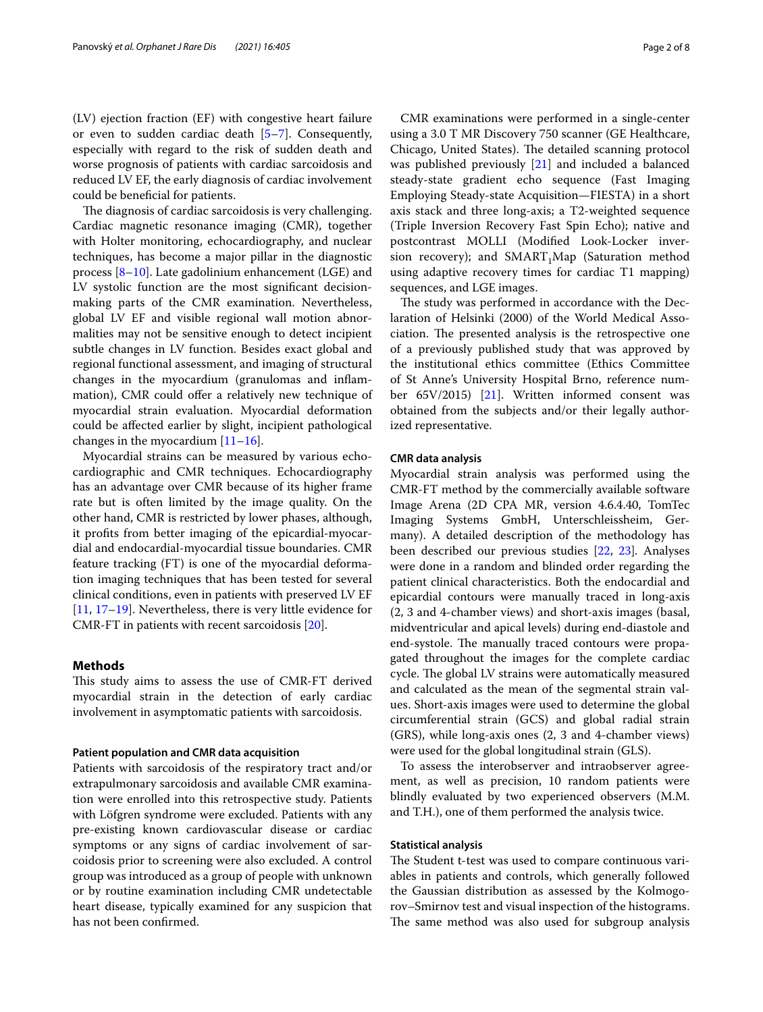(LV) ejection fraction (EF) with congestive heart failure or even to sudden cardiac death [[5](#page-5-2)[–7](#page-6-0)]. Consequently, especially with regard to the risk of sudden death and worse prognosis of patients with cardiac sarcoidosis and reduced LV EF, the early diagnosis of cardiac involvement could be benefcial for patients.

The diagnosis of cardiac sarcoidosis is very challenging. Cardiac magnetic resonance imaging (CMR), together with Holter monitoring, echocardiography, and nuclear techniques, has become a major pillar in the diagnostic process [\[8–](#page-6-1)[10\]](#page-6-2). Late gadolinium enhancement (LGE) and LV systolic function are the most signifcant decisionmaking parts of the CMR examination. Nevertheless, global LV EF and visible regional wall motion abnormalities may not be sensitive enough to detect incipient subtle changes in LV function. Besides exact global and regional functional assessment, and imaging of structural changes in the myocardium (granulomas and infammation), CMR could offer a relatively new technique of myocardial strain evaluation. Myocardial deformation could be afected earlier by slight, incipient pathological changes in the myocardium [[11–](#page-6-3)[16\]](#page-6-4).

Myocardial strains can be measured by various echocardiographic and CMR techniques. Echocardiography has an advantage over CMR because of its higher frame rate but is often limited by the image quality. On the other hand, CMR is restricted by lower phases, although, it profts from better imaging of the epicardial-myocardial and endocardial-myocardial tissue boundaries. CMR feature tracking (FT) is one of the myocardial deformation imaging techniques that has been tested for several clinical conditions, even in patients with preserved LV EF [[11,](#page-6-3) [17](#page-6-5)[–19](#page-6-6)]. Nevertheless, there is very little evidence for CMR-FT in patients with recent sarcoidosis [[20](#page-6-7)].

## **Methods**

This study aims to assess the use of CMR-FT derived myocardial strain in the detection of early cardiac involvement in asymptomatic patients with sarcoidosis.

# **Patient population and CMR data acquisition**

Patients with sarcoidosis of the respiratory tract and/or extrapulmonary sarcoidosis and available CMR examination were enrolled into this retrospective study. Patients with Löfgren syndrome were excluded. Patients with any pre-existing known cardiovascular disease or cardiac symptoms or any signs of cardiac involvement of sarcoidosis prior to screening were also excluded. A control group was introduced as a group of people with unknown or by routine examination including CMR undetectable heart disease, typically examined for any suspicion that has not been confrmed.

CMR examinations were performed in a single-center using a 3.0 T MR Discovery 750 scanner (GE Healthcare, Chicago, United States). The detailed scanning protocol was published previously [[21\]](#page-6-8) and included a balanced steady-state gradient echo sequence (Fast Imaging Employing Steady-state Acquisition—FIESTA) in a short axis stack and three long-axis; a T2-weighted sequence (Triple Inversion Recovery Fast Spin Echo); native and postcontrast MOLLI (Modifed Look-Locker inversion recovery); and  $SMARK_T_M$ Map (Saturation method using adaptive recovery times for cardiac T1 mapping) sequences, and LGE images.

The study was performed in accordance with the Declaration of Helsinki (2000) of the World Medical Association. The presented analysis is the retrospective one of a previously published study that was approved by the institutional ethics committee (Ethics Committee of St Anne's University Hospital Brno, reference number 65V/2015) [\[21](#page-6-8)]. Written informed consent was obtained from the subjects and/or their legally authorized representative.

# **CMR data analysis**

Myocardial strain analysis was performed using the CMR-FT method by the commercially available software Image Arena (2D CPA MR, version 4.6.4.40, TomTec Imaging Systems GmbH, Unterschleissheim, Germany). A detailed description of the methodology has been described our previous studies [[22,](#page-6-9) [23\]](#page-6-10)*.* Analyses were done in a random and blinded order regarding the patient clinical characteristics. Both the endocardial and epicardial contours were manually traced in long-axis (2, 3 and 4-chamber views) and short-axis images (basal, midventricular and apical levels) during end-diastole and end-systole. The manually traced contours were propagated throughout the images for the complete cardiac cycle. The global LV strains were automatically measured and calculated as the mean of the segmental strain values. Short-axis images were used to determine the global circumferential strain (GCS) and global radial strain (GRS), while long-axis ones (2, 3 and 4-chamber views) were used for the global longitudinal strain (GLS).

To assess the interobserver and intraobserver agreement, as well as precision, 10 random patients were blindly evaluated by two experienced observers (M.M. and T.H.), one of them performed the analysis twice.

# **Statistical analysis**

The Student t-test was used to compare continuous variables in patients and controls, which generally followed the Gaussian distribution as assessed by the Kolmogorov–Smirnov test and visual inspection of the histograms. The same method was also used for subgroup analysis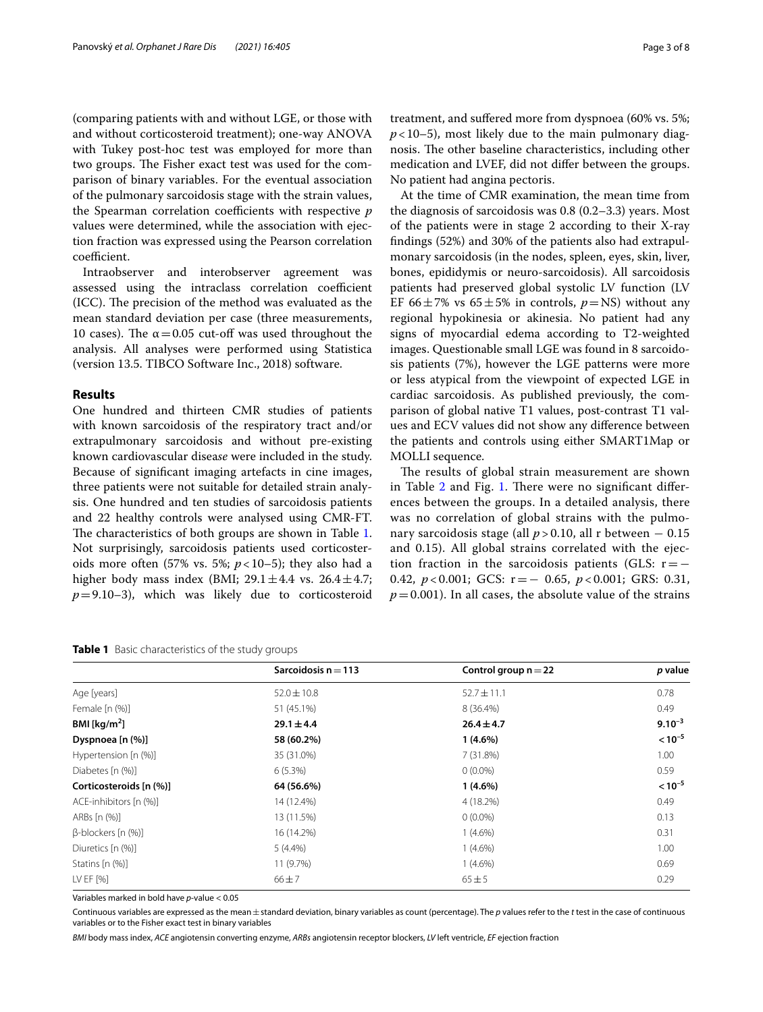(comparing patients with and without LGE, or those with and without corticosteroid treatment); one-way ANOVA with Tukey post-hoc test was employed for more than two groups. The Fisher exact test was used for the comparison of binary variables. For the eventual association of the pulmonary sarcoidosis stage with the strain values, the Spearman correlation coefficients with respective *p* values were determined, while the association with ejection fraction was expressed using the Pearson correlation coefficient.

Intraobserver and interobserver agreement was assessed using the intraclass correlation coefficient (ICC). The precision of the method was evaluated as the mean standard deviation per case (three measurements, 10 cases). The  $\alpha$  = 0.05 cut-off was used throughout the analysis. All analyses were performed using Statistica (version 13.5. TIBCO Software Inc., 2018) software.

# **Results**

One hundred and thirteen CMR studies of patients with known sarcoidosis of the respiratory tract and/or extrapulmonary sarcoidosis and without pre-existing known cardiovascular disea*se* were included in the study. Because of signifcant imaging artefacts in cine images, three patients were not suitable for detailed strain analysis. One hundred and ten studies of sarcoidosis patients and 22 healthy controls were analysed using CMR-FT. The characteristics of both groups are shown in Table [1](#page-2-0). Not surprisingly, sarcoidosis patients used corticosteroids more often  $(57\% \text{ vs. } 5\%; p<10-5)$ ; they also had a higher body mass index (BMI;  $29.1 \pm 4.4$  vs.  $26.4 \pm 4.7$ ;  $p=9.10-3$ ), which was likely due to corticosteroid No patient had angina pectoris.

At the time of CMR examination, the mean time from the diagnosis of sarcoidosis was 0.8 (0.2–3.3) years. Most of the patients were in stage 2 according to their X-ray fndings (52%) and 30% of the patients also had extrapulmonary sarcoidosis (in the nodes, spleen, eyes, skin, liver, bones, epididymis or neuro-sarcoidosis). All sarcoidosis patients had preserved global systolic LV function (LV EF 66 $\pm$ 7% vs 65 $\pm$ 5% in controls,  $p = NS$ ) without any regional hypokinesia or akinesia. No patient had any signs of myocardial edema according to T2-weighted images. Questionable small LGE was found in 8 sarcoidosis patients (7%), however the LGE patterns were more or less atypical from the viewpoint of expected LGE in cardiac sarcoidosis. As published previously, the comparison of global native T1 values, post-contrast T1 values and ECV values did not show any diference between the patients and controls using either SMART1Map or MOLLI sequence.

The results of global strain measurement are shown in Table  $2$  and Fig. [1](#page-3-1). There were no significant differences between the groups. In a detailed analysis, there was no correlation of global strains with the pulmonary sarcoidosis stage (all *p* > 0.10, all r between − 0.15 and 0.15). All global strains correlated with the ejection fraction in the sarcoidosis patients (GLS:  $r=-$ 0.42, *p* < 0.001; GCS: r=− 0.65, *p* < 0.001; GRS: 0.31,  $p=0.001$ ). In all cases, the absolute value of the strains

|                               | Sarcoidosis $n = 113$ | Control group $n = 22$ | p value     |
|-------------------------------|-----------------------|------------------------|-------------|
| Age [years]                   | $52.0 \pm 10.8$       | $52.7 \pm 11.1$        | 0.78        |
| Female [n (%)]                | 51 (45.1%)            | 8 (36.4%)              | 0.49        |
| BMI [ $\text{kg/m}^2$ ]       | $29.1 \pm 4.4$        | $26.4 \pm 4.7$         | $9.10^{-3}$ |
| Dyspnoea [n (%)]              | 58 (60.2%)            | $1(4.6\%)$             | $< 10^{-5}$ |
| Hypertension [n (%)]          | 35 (31.0%)            | 7(31.8%)               | 1.00        |
| Diabetes [n (%)]              | $6(5.3\%)$            | $0(0.0\%)$             | 0.59        |
| Corticosteroids [n (%)]       | 64 (56.6%)            | $1(4.6\%)$             | $< 10^{-5}$ |
| ACE-inhibitors [n (%)]        | 14 (12.4%)            | 4 (18.2%)              | 0.49        |
| 13 (11.5%)<br>$0(0.0\%)$      |                       | 0.13                   |             |
| $\beta$ -blockers [n $(\%)$ ] | 16 (14.2%)            | $1(4.6\%)$             | 0.31        |
| Diuretics [n (%)]             | $5(4.4\%)$            | $1(4.6\%)$             | 1.00        |
| Statins [n (%)]               | 11 (9.7%)             | $1(4.6\%)$             | 0.69        |
| LV EF [%]                     | $66 + 7$              | $65 \pm 5$             | 0.29        |
| ARBs [n (%)]                  |                       |                        |             |

Variables marked in bold have *p*-value < 0.05

Continuous variables are expressed as the mean±standard deviation, binary variables as count (percentage). The *p* values refer to the *t* test in the case of continuous variables or to the Fisher exact test in binary variables

*BMI* body mass index, *ACE* angiotensin converting enzyme, *ARBs* angiotensin receptor blockers, *LV* left ventricle, *EF* ejection fraction

<span id="page-2-0"></span>**Table 1** Basic characteristics of the study groups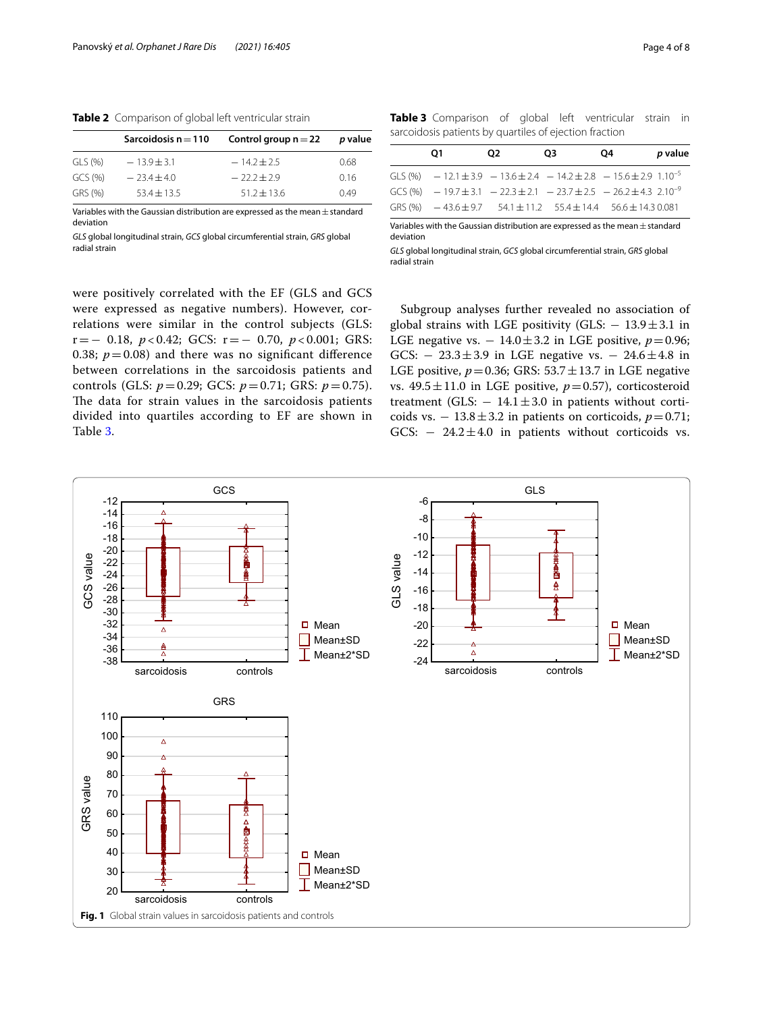<span id="page-3-0"></span>**Table 2** Comparison of global left ventricular strain

|         | Sarcoidosis $n = 110$ | Control group $n = 22$ | p value |
|---------|-----------------------|------------------------|---------|
| GLS (%) | $-13.9 + 3.1$         | $-14.2 + 2.5$          | 0.68    |
| GCS(% ) | $-23.4 + 4.0$         | $-22.2+2.9$            | 0.16    |
| GRS (%) | $53.4 \pm 13.5$       | $51.2 \pm 13.6$        | 0.49    |

Variables with the Gaussian distribution are expressed as the mean $\pm$ standard deviation

*GLS* global longitudinal strain, *GCS* global circumferential strain, *GRS* global radial strain

<span id="page-3-2"></span>**Table 3** Comparison of global left ventricular strain in sarcoidosis patients by quartiles of ejection fraction

| O1                                                                               | O2. | O <sub>3</sub> | O4 | p value |
|----------------------------------------------------------------------------------|-----|----------------|----|---------|
| GLS (%) $-12.1 \pm 3.9 - 13.6 \pm 2.4 - 14.2 \pm 2.8 - 15.6 \pm 2.9 1.10^{-5}$   |     |                |    |         |
| GCS (%) $-19.7 \pm 3.1 - 22.3 \pm 2.1 - 23.7 \pm 2.5 - 26.2 \pm 4.3 - 2.10^{-9}$ |     |                |    |         |
| GRS $\left( % \right)$ = 43.6 + 9.7 54.1 + 11.2 55.4 + 14.4 56.6 + 14.3 0.081    |     |                |    |         |

Variables with the Gaussian distribution are expressed as the mean $\pm$ standard deviation

*GLS* global longitudinal strain, *GCS* global circumferential strain, *GRS* global radial strain

were positively correlated with the EF (GLS and GCS were expressed as negative numbers). However, correlations were similar in the control subjects (GLS: r=− 0.18, *p* < 0.42; GCS: r=− 0.70, *p* < 0.001; GRS: 0.38;  $p = 0.08$ ) and there was no significant difference between correlations in the sarcoidosis patients and controls (GLS: *p*=0.29; GCS: *p*=0.71; GRS: *p*=0.75). The data for strain values in the sarcoidosis patients divided into quartiles according to EF are shown in Table [3](#page-3-2).

Subgroup analyses further revealed no association of global strains with LGE positivity (GLS:  $-13.9 \pm 3.1$  in LGE negative vs.  $-14.0 \pm 3.2$  in LGE positive,  $p=0.96$ ; GCS:  $- 23.3 \pm 3.9$  in LGE negative vs.  $- 24.6 \pm 4.8$  in LGE positive,  $p=0.36$ ; GRS:  $53.7 \pm 13.7$  in LGE negative vs.  $49.5 \pm 11.0$  in LGE positive,  $p=0.57$ ), corticosteroid treatment (GLS:  $-14.1 \pm 3.0$  in patients without corticoids vs.  $-13.8 \pm 3.2$  in patients on corticoids,  $p=0.71$ ; GCS:  $-24.2 \pm 4.0$  in patients without corticoids vs.

<span id="page-3-1"></span>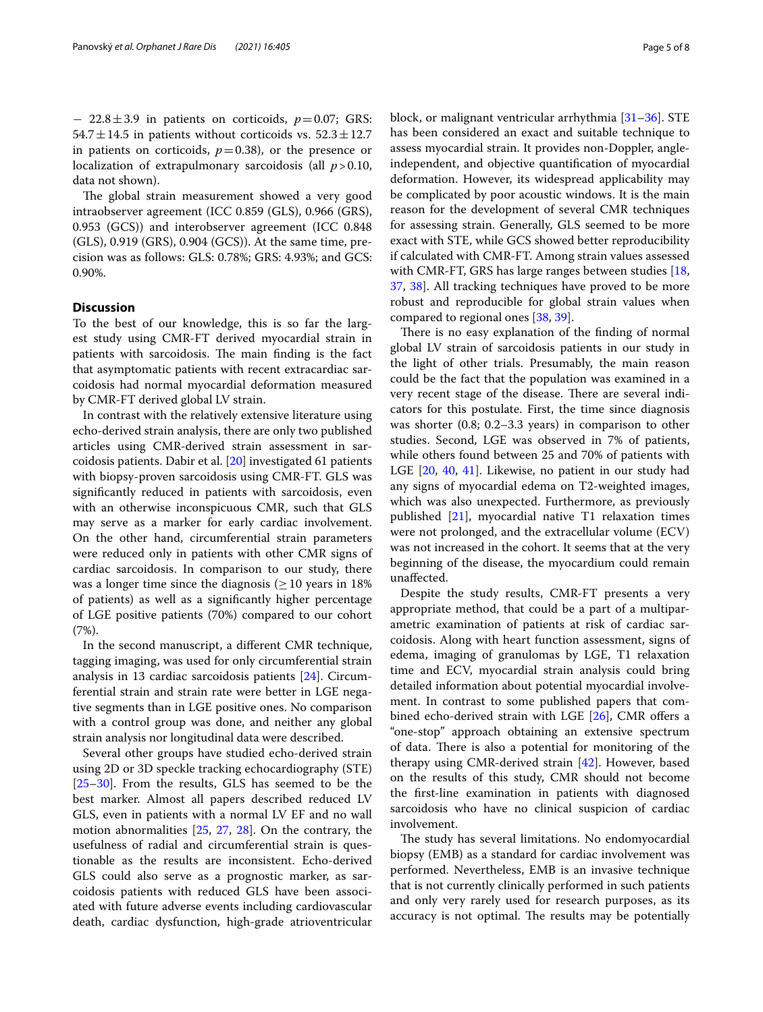− 22.8±3.9 in patients on corticoids, *p*=0.07; GRS: 54.7 $\pm$ 14.5 in patients without corticoids vs. 52.3 $\pm$ 12.7 in patients on corticoids,  $p=0.38$ ), or the presence or localization of extrapulmonary sarcoidosis (all *p*>0.10, data not shown).

The global strain measurement showed a very good intraobserver agreement (ICC 0.859 (GLS), 0.966 (GRS), 0.953 (GCS)) and interobserver agreement (ICC 0.848 (GLS), 0.919 (GRS), 0.904 (GCS)). At the same time, precision was as follows: GLS: 0.78%; GRS: 4.93%; and GCS: 0.90%.

# **Discussion**

To the best of our knowledge, this is so far the largest study using CMR-FT derived myocardial strain in patients with sarcoidosis. The main finding is the fact that asymptomatic patients with recent extracardiac sarcoidosis had normal myocardial deformation measured by CMR-FT derived global LV strain.

In contrast with the relatively extensive literature using echo-derived strain analysis, there are only two published articles using CMR-derived strain assessment in sarcoidosis patients. Dabir et al. [\[20](#page-6-7)] investigated 61 patients with biopsy-proven sarcoidosis using CMR-FT. GLS was signifcantly reduced in patients with sarcoidosis, even with an otherwise inconspicuous CMR, such that GLS may serve as a marker for early cardiac involvement. On the other hand, circumferential strain parameters were reduced only in patients with other CMR signs of cardiac sarcoidosis. In comparison to our study, there was a longer time since the diagnosis ( $\geq$  10 years in 18% of patients) as well as a signifcantly higher percentage of LGE positive patients (70%) compared to our cohort (7%).

In the second manuscript, a diferent CMR technique, tagging imaging, was used for only circumferential strain analysis in 13 cardiac sarcoidosis patients [\[24](#page-6-11)]. Circumferential strain and strain rate were better in LGE negative segments than in LGE positive ones. No comparison with a control group was done, and neither any global strain analysis nor longitudinal data were described.

Several other groups have studied echo-derived strain using 2D or 3D speckle tracking echocardiography (STE) [[25–](#page-6-12)[30](#page-6-13)]. From the results, GLS has seemed to be the best marker. Almost all papers described reduced LV GLS, even in patients with a normal LV EF and no wall motion abnormalities [\[25](#page-6-12), [27,](#page-6-14) [28\]](#page-6-15). On the contrary, the usefulness of radial and circumferential strain is questionable as the results are inconsistent. Echo-derived GLS could also serve as a prognostic marker, as sarcoidosis patients with reduced GLS have been associated with future adverse events including cardiovascular death, cardiac dysfunction, high-grade atrioventricular block, or malignant ventricular arrhythmia [[31–](#page-6-16)[36](#page-6-17)]. STE has been considered an exact and suitable technique to assess myocardial strain. It provides non-Doppler, angleindependent, and objective quantifcation of myocardial deformation. However, its widespread applicability may be complicated by poor acoustic windows. It is the main reason for the development of several CMR techniques for assessing strain. Generally, GLS seemed to be more exact with STE, while GCS showed better reproducibility if calculated with CMR-FT. Among strain values assessed with CMR-FT, GRS has large ranges between studies [[18](#page-6-18), [37,](#page-6-19) [38\]](#page-6-20). All tracking techniques have proved to be more robust and reproducible for global strain values when compared to regional ones [[38](#page-6-20), [39\]](#page-6-21).

There is no easy explanation of the finding of normal global LV strain of sarcoidosis patients in our study in the light of other trials. Presumably, the main reason could be the fact that the population was examined in a very recent stage of the disease. There are several indicators for this postulate. First, the time since diagnosis was shorter (0.8; 0.2–3.3 years) in comparison to other studies. Second, LGE was observed in 7% of patients, while others found between 25 and 70% of patients with LGE [[20,](#page-6-7) [40](#page-7-0), [41](#page-7-1)]. Likewise, no patient in our study had any signs of myocardial edema on T2-weighted images, which was also unexpected. Furthermore, as previously published [[21\]](#page-6-8), myocardial native T1 relaxation times were not prolonged, and the extracellular volume (ECV) was not increased in the cohort. It seems that at the very beginning of the disease, the myocardium could remain unafected.

Despite the study results, CMR-FT presents a very appropriate method, that could be a part of a multiparametric examination of patients at risk of cardiac sarcoidosis. Along with heart function assessment, signs of edema, imaging of granulomas by LGE, T1 relaxation time and ECV, myocardial strain analysis could bring detailed information about potential myocardial involvement. In contrast to some published papers that com-bined echo-derived strain with LGE [\[26\]](#page-6-22), CMR offers a "one-stop" approach obtaining an extensive spectrum of data. There is also a potential for monitoring of the therapy using CMR-derived strain [\[42](#page-7-2)]. However, based on the results of this study, CMR should not become the frst-line examination in patients with diagnosed sarcoidosis who have no clinical suspicion of cardiac involvement.

The study has several limitations. No endomyocardial biopsy (EMB) as a standard for cardiac involvement was performed. Nevertheless, EMB is an invasive technique that is not currently clinically performed in such patients and only very rarely used for research purposes, as its accuracy is not optimal. The results may be potentially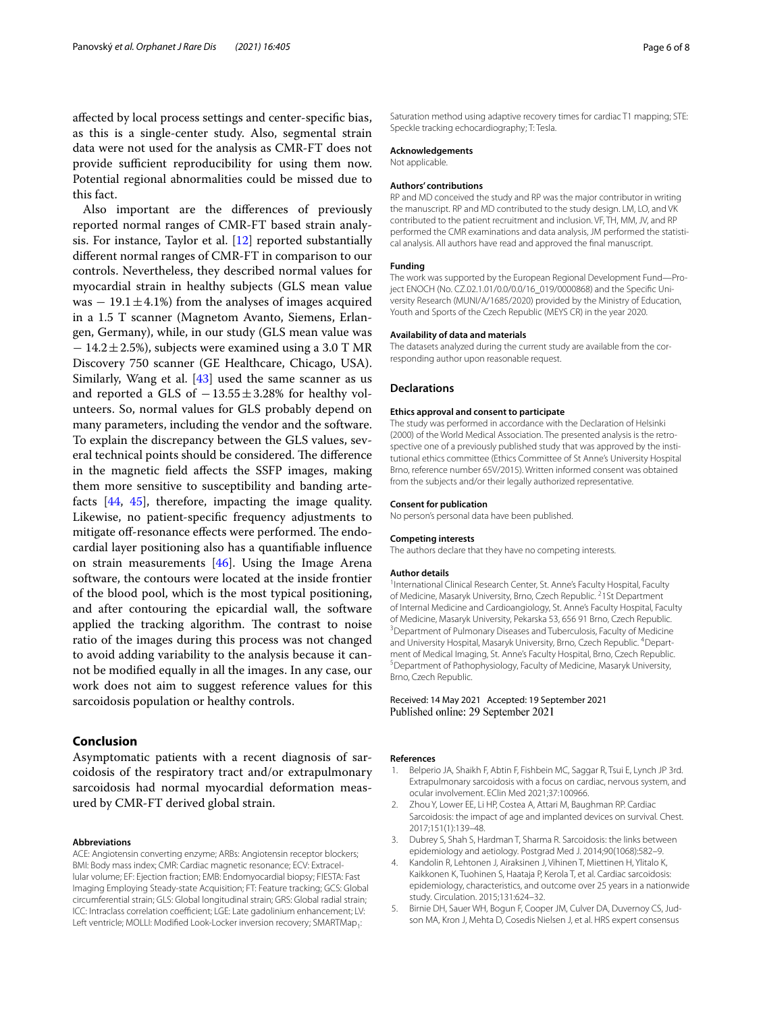afected by local process settings and center-specifc bias, as this is a single-center study. Also, segmental strain data were not used for the analysis as CMR-FT does not provide sufficient reproducibility for using them now. Potential regional abnormalities could be missed due to this fact.

Also important are the diferences of previously reported normal ranges of CMR-FT based strain analysis. For instance, Taylor et al. [\[12](#page-6-23)] reported substantially diferent normal ranges of CMR-FT in comparison to our controls. Nevertheless, they described normal values for myocardial strain in healthy subjects (GLS mean value was  $-19.1 \pm 4.1\%$ ) from the analyses of images acquired in a 1.5 T scanner (Magnetom Avanto, Siemens, Erlangen, Germany), while, in our study (GLS mean value was  $-14.2 \pm 2.5$ %), subjects were examined using a 3.0 T MR Discovery 750 scanner (GE Healthcare, Chicago, USA). Similarly, Wang et al. [\[43](#page-7-3)] used the same scanner as us and reported a GLS of  $-13.55 \pm 3.28\%$  for healthy volunteers. So, normal values for GLS probably depend on many parameters, including the vendor and the software. To explain the discrepancy between the GLS values, several technical points should be considered. The difference in the magnetic feld afects the SSFP images, making them more sensitive to susceptibility and banding artefacts [\[44](#page-7-4), [45](#page-7-5)], therefore, impacting the image quality. Likewise, no patient-specifc frequency adjustments to mitigate off-resonance effects were performed. The endocardial layer positioning also has a quantifable infuence on strain measurements  $[46]$  $[46]$  $[46]$ . Using the Image Arena software, the contours were located at the inside frontier of the blood pool, which is the most typical positioning, and after contouring the epicardial wall, the software applied the tracking algorithm. The contrast to noise ratio of the images during this process was not changed to avoid adding variability to the analysis because it cannot be modifed equally in all the images. In any case, our work does not aim to suggest reference values for this sarcoidosis population or healthy controls.

# **Conclusion**

Asymptomatic patients with a recent diagnosis of sarcoidosis of the respiratory tract and/or extrapulmonary sarcoidosis had normal myocardial deformation measured by CMR-FT derived global strain.

#### **Abbreviations**

ACE: Angiotensin converting enzyme; ARBs: Angiotensin receptor blockers; BMI: Body mass index; CMR: Cardiac magnetic resonance; ECV: Extracellular volume; EF: Ejection fraction; EMB: Endomyocardial biopsy; FIESTA: Fast Imaging Employing Steady-state Acquisition; FT: Feature tracking; GCS: Global circumferential strain; GLS: Global longitudinal strain; GRS: Global radial strain; ICC: Intraclass correlation coefficient; LGE: Late gadolinium enhancement; LV: Left ventricle; MOLLI: Modified Look-Locker inversion recovery; SMARTMap<sub>1</sub>:

Saturation method using adaptive recovery times for cardiac T1 mapping; STE: Speckle tracking echocardiography; T: Tesla.

#### **Acknowledgements**

Not applicable.

#### **Authors' contributions**

RP and MD conceived the study and RP was the major contributor in writing the manuscript. RP and MD contributed to the study design. LM, LO, and VK contributed to the patient recruitment and inclusion. VF, TH, MM, JV, and RP performed the CMR examinations and data analysis, JM performed the statistical analysis. All authors have read and approved the fnal manuscript.

#### **Funding**

The work was supported by the European Regional Development Fund-Project ENOCH (No. CZ.02.1.01/0.0/0.0/16\_019/0000868) and the Specific Uni versity Research (MUNI/A/1685/2020) provided by the Ministry of Education, Youth and Sports of the Czech Republic (MEYS CR) in the year 2020.

#### **Availability of data and materials**

The datasets analyzed during the current study are available from the corresponding author upon reasonable request.

#### **Declarations**

#### **Ethics approval and consent to participate**

The study was performed in accordance with the Declaration of Helsinki (2000) of the World Medical Association. The presented analysis is the retrospective one of a previously published study that was approved by the institutional ethics committee (Ethics Committee of St Anne's University Hospital Brno, reference number 65V/2015). Written informed consent was obtained from the subjects and/or their legally authorized representative.

#### **Consent for publication**

No person's personal data have been published.

#### **Competing interests**

The authors declare that they have no competing interests.

#### **Author details**

<sup>1</sup>International Clinical Research Center, St. Anne's Faculty Hospital, Faculty of Medicine, Masaryk University, Brno, Czech Republic.<sup>2</sup>1St Department of Internal Medicine and Cardioangiology, St. Anne's Faculty Hospital, Faculty of Medicine, Masaryk University, Pekarska 53, 656 91 Brno, Czech Republic. 3 <sup>3</sup> Department of Pulmonary Diseases and Tuberculosis, Faculty of Medicine and University Hospital, Masaryk University, Brno, Czech Republic. <sup>4</sup>Department of Medical Imaging, St. Anne's Faculty Hospital, Brno, Czech Republic. 5 <sup>5</sup> Department of Pathophysiology, Faculty of Medicine, Masaryk University, Brno, Czech Republic.

### Received: 14 May 2021 Accepted: 19 September 2021 Published online: 29 September 2021

## **References**

- <span id="page-5-0"></span>1. Belperio JA, Shaikh F, Abtin F, Fishbein MC, Saggar R, Tsui E, Lynch JP 3rd. Extrapulmonary sarcoidosis with a focus on cardiac, nervous system, and ocular involvement. EClin Med 2021;37:100966.
- 2. Zhou Y, Lower EE, Li HP, Costea A, Attari M, Baughman RP. Cardiac Sarcoidosis: the impact of age and implanted devices on survival. Chest. 2017;151(1):139–48.
- 3. Dubrey S, Shah S, Hardman T, Sharma R. Sarcoidosis: the links between epidemiology and aetiology. Postgrad Med J. 2014;90(1068):582–9.
- <span id="page-5-1"></span>4. Kandolin R, Lehtonen J, Airaksinen J, Vihinen T, Miettinen H, Ylitalo K, Kaikkonen K, Tuohinen S, Haataja P, Kerola T, et al. Cardiac sarcoidosis: epidemiology, characteristics, and outcome over 25 years in a nationwide study. Circulation. 2015;131:624–32.
- <span id="page-5-2"></span>5. Birnie DH, Sauer WH, Bogun F, Cooper JM, Culver DA, Duvernoy CS, Judson MA, Kron J, Mehta D, Cosedis Nielsen J, et al. HRS expert consensus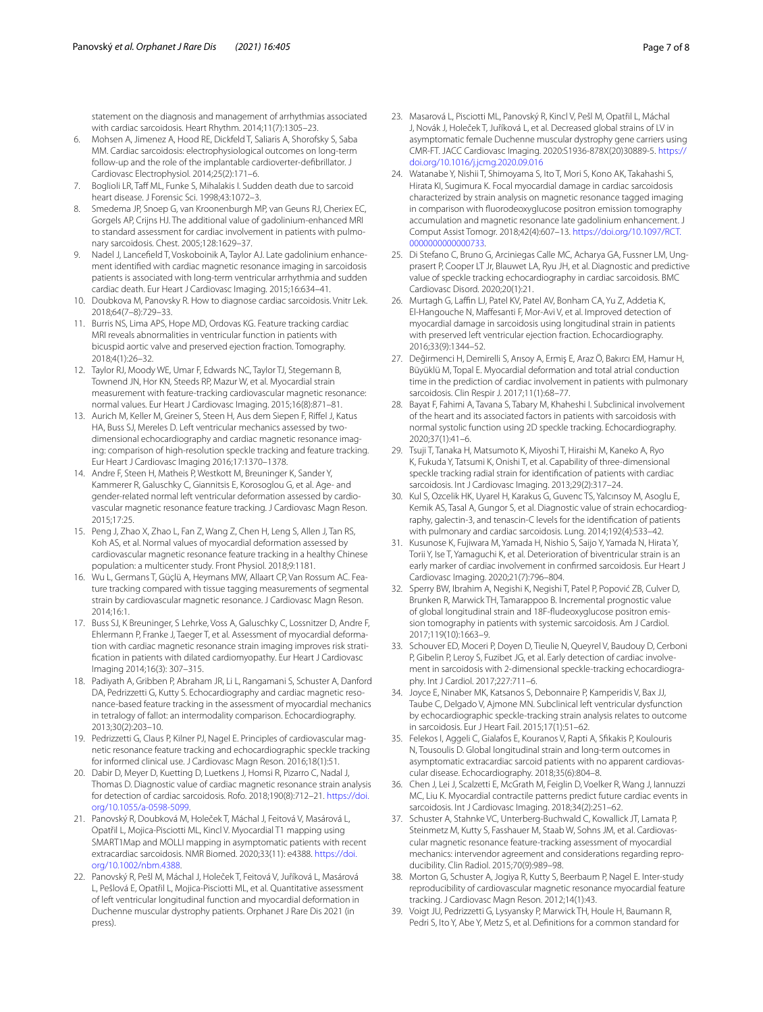statement on the diagnosis and management of arrhythmias associated with cardiac sarcoidosis. Heart Rhythm. 2014;11(7):1305–23.

- 6. Mohsen A, Jimenez A, Hood RE, Dickfeld T, Saliaris A, Shorofsky S, Saba MM. Cardiac sarcoidosis: electrophysiological outcomes on long-term follow-up and the role of the implantable cardioverter-defbrillator. J Cardiovasc Electrophysiol. 2014;25(2):171–6.
- <span id="page-6-0"></span>7. Boglioli LR, Taff ML, Funke S, Mihalakis I. Sudden death due to sarcoid heart disease. J Forensic Sci. 1998;43:1072–3.
- <span id="page-6-1"></span>Smedema JP, Snoep G, van Kroonenburgh MP, van Geuns RJ, Cheriex EC, Gorgels AP, Crijns HJ. The additional value of gadolinium-enhanced MRI to standard assessment for cardiac involvement in patients with pulmonary sarcoidosis. Chest. 2005;128:1629–37.
- 9. Nadel J, Lancefield T, Voskoboinik A, Taylor AJ. Late gadolinium enhancement identifed with cardiac magnetic resonance imaging in sarcoidosis patients is associated with long-term ventricular arrhythmia and sudden cardiac death. Eur Heart J Cardiovasc Imaging. 2015;16:634–41.
- <span id="page-6-2"></span>10. Doubkova M, Panovsky R. How to diagnose cardiac sarcoidosis. Vnitr Lek. 2018;64(7–8):729–33.
- <span id="page-6-3"></span>11. Burris NS, Lima APS, Hope MD, Ordovas KG. Feature tracking cardiac MRI reveals abnormalities in ventricular function in patients with bicuspid aortic valve and preserved ejection fraction. Tomography. 2018;4(1):26–32.
- <span id="page-6-23"></span>12. Taylor RJ, Moody WE, Umar F, Edwards NC, Taylor TJ, Stegemann B, Townend JN, Hor KN, Steeds RP, Mazur W, et al. Myocardial strain measurement with feature-tracking cardiovascular magnetic resonance: normal values. Eur Heart J Cardiovasc Imaging. 2015;16(8):871–81.
- 13. Aurich M, Keller M, Greiner S, Steen H, Aus dem Siepen F, Rifel J, Katus HA, Buss SJ, Mereles D. Left ventricular mechanics assessed by twodimensional echocardiography and cardiac magnetic resonance imaging: comparison of high-resolution speckle tracking and feature tracking. Eur Heart J Cardiovasc Imaging 2016;17:1370–1378.
- 14. Andre F, Steen H, Matheis P, Westkott M, Breuninger K, Sander Y, Kammerer R, Galuschky C, Giannitsis E, Korosoglou G, et al. Age- and gender-related normal left ventricular deformation assessed by cardio‑ vascular magnetic resonance feature tracking. J Cardiovasc Magn Reson. 2015;17:25.
- 15. Peng J, Zhao X, Zhao L, Fan Z, Wang Z, Chen H, Leng S, Allen J, Tan RS, Koh AS, et al. Normal values of myocardial deformation assessed by cardiovascular magnetic resonance feature tracking in a healthy Chinese population: a multicenter study. Front Physiol. 2018;9:1181.
- <span id="page-6-4"></span>16. Wu L, Germans T, Güçlü A, Heymans MW, Allaart CP, Van Rossum AC. Feature tracking compared with tissue tagging measurements of segmental strain by cardiovascular magnetic resonance. J Cardiovasc Magn Reson. 2014;16:1.
- <span id="page-6-5"></span>17. Buss SJ, K Breuninger, S Lehrke, Voss A, Galuschky C, Lossnitzer D, Andre F, Ehlermann P, Franke J, Taeger T, et al. Assessment of myocardial deformation with cardiac magnetic resonance strain imaging improves risk stratifcation in patients with dilated cardiomyopathy. Eur Heart J Cardiovasc Imaging 2014;16(3): 307–315.
- <span id="page-6-18"></span>18. Padiyath A, Gribben P, Abraham JR, Li L, Rangamani S, Schuster A, Danford DA, Pedrizzetti G, Kutty S. Echocardiography and cardiac magnetic resonance-based feature tracking in the assessment of myocardial mechanics in tetralogy of fallot: an intermodality comparison. Echocardiography. 2013;30(2):203–10.
- <span id="page-6-6"></span>19. Pedrizzetti G, Claus P, Kilner PJ, Nagel E. Principles of cardiovascular magnetic resonance feature tracking and echocardiographic speckle tracking for informed clinical use. J Cardiovasc Magn Reson. 2016;18(1):51.
- <span id="page-6-7"></span>20. Dabir D, Meyer D, Kuetting D, Luetkens J, Homsi R, Pizarro C, Nadal J, Thomas D. Diagnostic value of cardiac magnetic resonance strain analysis for detection of cardiac sarcoidosis. Rofo. 2018;190(8):712–21. [https://doi.](https://doi.org/10.1055/a-0598-5099) [org/10.1055/a-0598-5099.](https://doi.org/10.1055/a-0598-5099)
- <span id="page-6-8"></span>21. Panovský R, Doubková M, Holeček T, Máchal J, Feitová V, Masárová L, Opatřil L, Mojica-Pisciotti ML, Kincl V. Myocardial T1 mapping using SMART1Map and MOLLI mapping in asymptomatic patients with recent extracardiac sarcoidosis. NMR Biomed. 2020;33(11): e4388. [https://doi.](https://doi.org/10.1002/nbm.4388) [org/10.1002/nbm.4388.](https://doi.org/10.1002/nbm.4388)
- <span id="page-6-9"></span>22. Panovský R, Pešl M, Máchal J, Holeček T, Feitová V, Juříková L, Masárová L, Pešlová E, Opatřil L, Mojica-Pisciotti ML, et al. Quantitative assessment of left ventricular longitudinal function and myocardial deformation in Duchenne muscular dystrophy patients. Orphanet J Rare Dis 2021 (in press).
- <span id="page-6-10"></span>23. Masarová L, Pisciotti ML, Panovský R, Kincl V, Pešl M, Opatřil L, Máchal J, Novák J, Holeček T, Juříková L, et al. Decreased global strains of LV in asymptomatic female Duchenne muscular dystrophy gene carriers using CMR-FT. JACC Cardiovasc Imaging. 2020:S1936-878X(20)30889-5. [https://](https://doi.org/10.1016/j.jcmg.2020.09.016) [doi.org/10.1016/j.jcmg.2020.09.016](https://doi.org/10.1016/j.jcmg.2020.09.016)
- <span id="page-6-11"></span>24. Watanabe Y, Nishii T, Shimoyama S, Ito T, Mori S, Kono AK, Takahashi S, Hirata KI, Sugimura K. Focal myocardial damage in cardiac sarcoidosis characterized by strain analysis on magnetic resonance tagged imaging in comparison with fuorodeoxyglucose positron emission tomography accumulation and magnetic resonance late gadolinium enhancement. J Comput Assist Tomogr. 2018;42(4):607–13. [https://doi.org/10.1097/RCT.](https://doi.org/10.1097/RCT.0000000000000733) [0000000000000733](https://doi.org/10.1097/RCT.0000000000000733).
- <span id="page-6-12"></span>25. Di Stefano C, Bruno G, Arciniegas Calle MC, Acharya GA, Fussner LM, Ungprasert P, Cooper LT Jr, Blauwet LA, Ryu JH, et al. Diagnostic and predictive value of speckle tracking echocardiography in cardiac sarcoidosis. BMC Cardiovasc Disord. 2020;20(1):21.
- <span id="page-6-22"></span>26. Murtagh G, Laffin LJ, Patel KV, Patel AV, Bonham CA, Yu Z, Addetia K, El-Hangouche N, Mafesanti F, Mor-Avi V, et al. Improved detection of myocardial damage in sarcoidosis using longitudinal strain in patients with preserved left ventricular ejection fraction. Echocardiography. 2016;33(9):1344–52.
- <span id="page-6-14"></span>27. Değirmenci H, Demirelli S, Arısoy A, Ermiş E, Araz Ö, Bakırcı EM, Hamur H, Büyüklü M, Topal E. Myocardial deformation and total atrial conduction time in the prediction of cardiac involvement in patients with pulmonary sarcoidosis. Clin Respir J. 2017;11(1):68–77.
- <span id="page-6-15"></span>28. Bayat F, Fahimi A, Tavana S, Tabary M, Khaheshi I. Subclinical involvement of the heart and its associated factors in patients with sarcoidosis with normal systolic function using 2D speckle tracking. Echocardiography. 2020;37(1):41–6.
- 29. Tsuji T, Tanaka H, Matsumoto K, Miyoshi T, Hiraishi M, Kaneko A, Ryo K, Fukuda Y, Tatsumi K, Onishi T, et al. Capability of three-dimensional speckle tracking radial strain for identifcation of patients with cardiac sarcoidosis. Int J Cardiovasc Imaging. 2013;29(2):317–24.
- <span id="page-6-13"></span>30. Kul S, Ozcelik HK, Uyarel H, Karakus G, Guvenc TS, Yalcınsoy M, Asoglu E, Kemik AS, Tasal A, Gungor S, et al. Diagnostic value of strain echocardiography, galectin-3, and tenascin-C levels for the identifcation of patients with pulmonary and cardiac sarcoidosis. Lung. 2014;192(4):533–42.
- <span id="page-6-16"></span>31. Kusunose K, Fujiwara M, Yamada H, Nishio S, Saijo Y, Yamada N, Hirata Y, Torii Y, Ise T, Yamaguchi K, et al. Deterioration of biventricular strain is an early marker of cardiac involvement in confrmed sarcoidosis. Eur Heart J Cardiovasc Imaging. 2020;21(7):796–804.
- 32. Sperry BW, Ibrahim A, Negishi K, Negishi T, Patel P, Popović ZB, Culver D, Brunken R, Marwick TH, Tamarappoo B. Incremental prognostic value of global longitudinal strain and 18F-fludeoxyglucose positron emission tomography in patients with systemic sarcoidosis. Am J Cardiol. 2017;119(10):1663–9.
- 33. Schouver ED, Moceri P, Doyen D, Tieulie N, Queyrel V, Baudouy D, Cerboni P, Gibelin P, Leroy S, Fuzibet JG, et al. Early detection of cardiac involvement in sarcoidosis with 2-dimensional speckle-tracking echocardiography. Int J Cardiol. 2017;227:711–6.
- 34. Joyce E, Ninaber MK, Katsanos S, Debonnaire P, Kamperidis V, Bax JJ, Taube C, Delgado V, Ajmone MN. Subclinical left ventricular dysfunction by echocardiographic speckle-tracking strain analysis relates to outcome in sarcoidosis. Eur J Heart Fail. 2015;17(1):51–62.
- 35. Felekos I, Aggeli C, Gialafos E, Kouranos V, Rapti A, Sfkakis P, Koulouris N, Tousoulis D. Global longitudinal strain and long-term outcomes in asymptomatic extracardiac sarcoid patients with no apparent cardiovascular disease. Echocardiography. 2018;35(6):804–8.
- <span id="page-6-17"></span>36. Chen J, Lei J, Scalzetti E, McGrath M, Feiglin D, Voelker R, Wang J, Iannuzzi MC, Liu K. Myocardial contractile patterns predict future cardiac events in sarcoidosis. Int J Cardiovasc Imaging. 2018;34(2):251–62.
- <span id="page-6-19"></span>37. Schuster A, Stahnke VC, Unterberg-Buchwald C, Kowallick JT, Lamata P, Steinmetz M, Kutty S, Fasshauer M, Staab W, Sohns JM, et al. Cardiovascular magnetic resonance feature-tracking assessment of myocardial mechanics: intervendor agreement and considerations regarding reproducibility. Clin Radiol. 2015;70(9):989–98.
- <span id="page-6-20"></span>38. Morton G, Schuster A, Jogiya R, Kutty S, Beerbaum P, Nagel E. Inter-study reproducibility of cardiovascular magnetic resonance myocardial feature tracking. J Cardiovasc Magn Reson. 2012;14(1):43.
- <span id="page-6-21"></span>39. Voigt JU, Pedrizzetti G, Lysyansky P, Marwick TH, Houle H, Baumann R, Pedri S, Ito Y, Abe Y, Metz S, et al. Defnitions for a common standard for